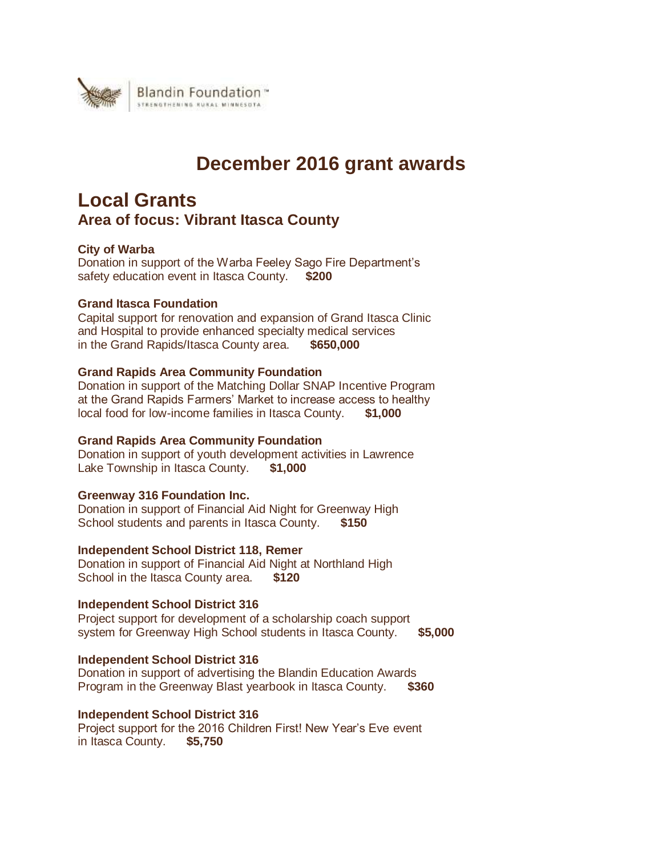

# **December 2016 grant awards**

# **Local Grants Area of focus: Vibrant Itasca County**

# **City of Warba**

Donation in support of the Warba Feeley Sago Fire Department's safety education event in Itasca County. **\$200**

# **Grand Itasca Foundation**

Capital support for renovation and expansion of Grand Itasca Clinic and Hospital to provide enhanced specialty medical services in the Grand Rapids/Itasca County area. **\$650,000**

# **Grand Rapids Area Community Foundation**

Donation in support of the Matching Dollar SNAP Incentive Program at the Grand Rapids Farmers' Market to increase access to healthy local food for low-income families in Itasca County. **\$1,000**

# **Grand Rapids Area Community Foundation**

Donation in support of youth development activities in Lawrence Lake Township in Itasca County. **\$1,000**

# **Greenway 316 Foundation Inc.**

Donation in support of Financial Aid Night for Greenway High School students and parents in Itasca County. **\$150**

# **Independent School District 118, Remer**

Donation in support of Financial Aid Night at Northland High School in the Itasca County area. **\$120**

# **Independent School District 316**

Project support for development of a scholarship coach support system for Greenway High School students in Itasca County. **\$5,000**

# **Independent School District 316**

Donation in support of advertising the Blandin Education Awards Program in the Greenway Blast yearbook in Itasca County. **\$360**

# **Independent School District 316**

Project support for the 2016 Children First! New Year's Eve event in Itasca County. **\$5,750**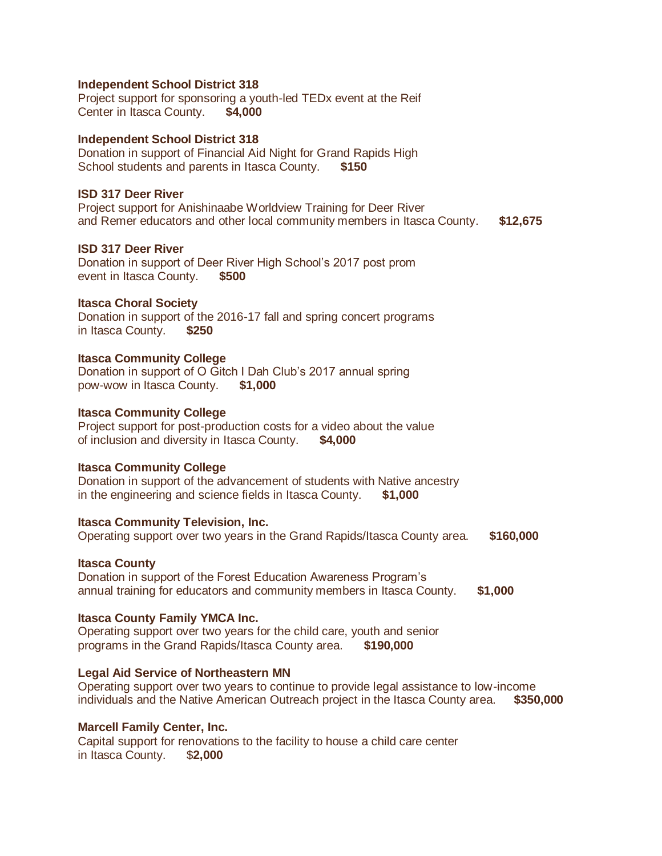#### **Independent School District 318**

Project support for sponsoring a youth-led TEDx event at the Reif Center in Itasca County. **\$4,000**

#### **Independent School District 318**

Donation in support of Financial Aid Night for Grand Rapids High School students and parents in Itasca County. **\$150**

#### **ISD 317 Deer River**

Project support for Anishinaabe Worldview Training for Deer River and Remer educators and other local community members in Itasca County. **\$12,675**

# **ISD 317 Deer River**

Donation in support of Deer River High School's 2017 post prom event in Itasca County. **\$500**

# **Itasca Choral Society**

Donation in support of the 2016-17 fall and spring concert programs in Itasca County. **\$250**

#### **Itasca Community College**

Donation in support of O Gitch I Dah Club's 2017 annual spring pow-wow in Itasca County. **\$1,000**

# **Itasca Community College**

Project support for post-production costs for a video about the value of inclusion and diversity in Itasca County. **\$4,000**

#### **Itasca Community College**

Donation in support of the advancement of students with Native ancestry in the engineering and science fields in Itasca County. **\$1,000**

#### **Itasca Community Television, Inc.**

Operating support over two years in the Grand Rapids/Itasca County area. **\$160,000**

#### **Itasca County**

Donation in support of the Forest Education Awareness Program's annual training for educators and community members in Itasca County. **\$1,000**

#### **Itasca County Family YMCA Inc.**

Operating support over two years for the child care, youth and senior programs in the Grand Rapids/Itasca County area. **\$190,000**

# **Legal Aid Service of Northeastern MN**

Operating support over two years to continue to provide legal assistance to low-income individuals and the Native American Outreach project in the Itasca County area. **\$350,000**

#### **Marcell Family Center, Inc.**

Capital support for renovations to the facility to house a child care center in Itasca County. \$**2,000**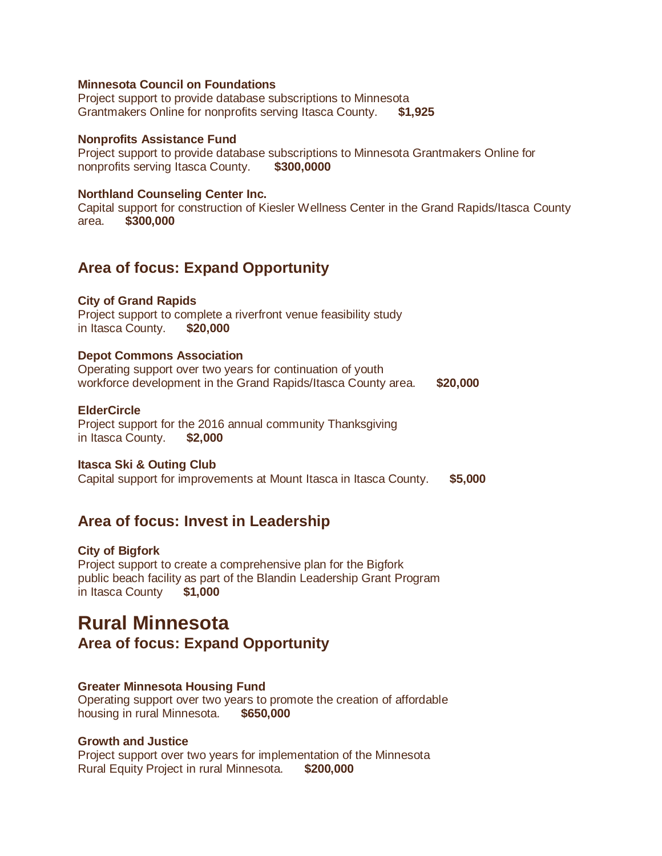# **Minnesota Council on Foundations**

Project support to provide database subscriptions to Minnesota Grantmakers Online for nonprofits serving Itasca County. **\$1,925**

#### **Nonprofits Assistance Fund**

Project support to provide database subscriptions to Minnesota Grantmakers Online for nonprofits serving Itasca County. **\$300,0000**

#### **Northland Counseling Center Inc.**

Capital support for construction of Kiesler Wellness Center in the Grand Rapids/Itasca County area. **\$300,000**

# **Area of focus: Expand Opportunity**

#### **City of Grand Rapids**

Project support to complete a riverfront venue feasibility study in Itasca County. **\$20,000**

# **Depot Commons Association**

Operating support over two years for continuation of youth workforce development in the Grand Rapids/Itasca County area. **\$20,000**

# **ElderCircle**

Project support for the 2016 annual community Thanksgiving in Itasca County. **\$2,000**

#### **Itasca Ski & Outing Club**

Capital support for improvements at Mount Itasca in Itasca County. **\$5,000**

# **Area of focus: Invest in Leadership**

#### **City of Bigfork**

Project support to create a comprehensive plan for the Bigfork public beach facility as part of the Blandin Leadership Grant Program in Itasca County **\$1,000**

# **Rural Minnesota**

**Area of focus: Expand Opportunity**

#### **Greater Minnesota Housing Fund**

Operating support over two years to promote the creation of affordable housing in rural Minnesota. **\$650,000**

# **Growth and Justice**

Project support over two years for implementation of the Minnesota Rural Equity Project in rural Minnesota. **\$200,000**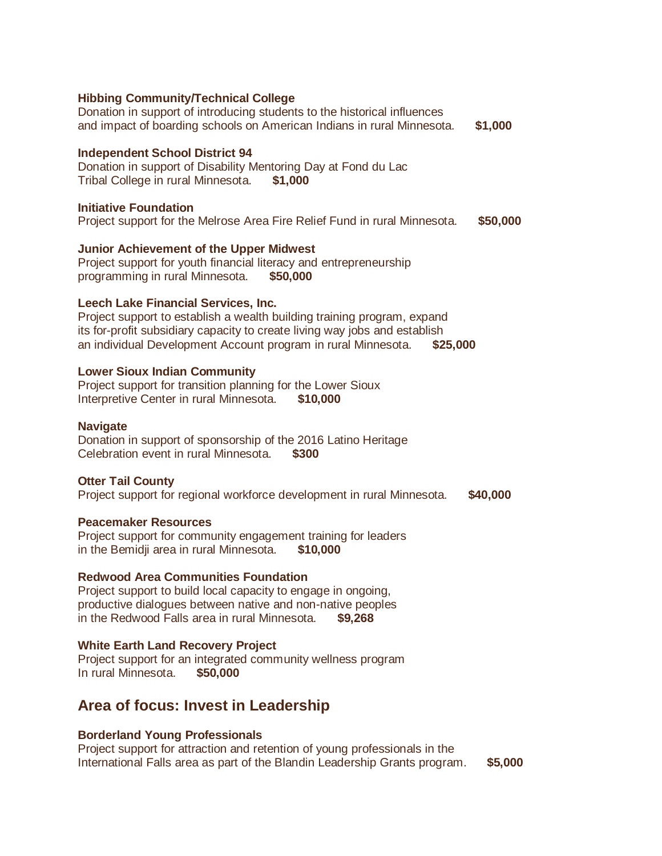**Hibbing Community/Technical College** Donation in support of introducing students to the historical influences and impact of boarding schools on American Indians in rural Minnesota. **\$1,000 Independent School District 94** Donation in support of Disability Mentoring Day at Fond du Lac Tribal College in rural Minnesota. **\$1,000 Initiative Foundation** Project support for the Melrose Area Fire Relief Fund in rural Minnesota. **\$50,000 Junior Achievement of the Upper Midwest** Project support for youth financial literacy and entrepreneurship programming in rural Minnesota. **\$50,000 Leech Lake Financial Services, Inc.** Project support to establish a wealth building training program, expand its for-profit subsidiary capacity to create living way jobs and establish an individual Development Account program in rural Minnesota. **\$25,000 Lower Sioux Indian Community** Project support for transition planning for the Lower Sioux Interpretive Center in rural Minnesota. **\$10,000 Navigate** Donation in support of sponsorship of the 2016 Latino Heritage Celebration event in rural Minnesota. **\$300 Otter Tail County** Project support for regional workforce development in rural Minnesota. **\$40,000 Peacemaker Resources** Project support for community engagement training for leaders in the Bemidji area in rural Minnesota. **\$10,000**

# **Redwood Area Communities Foundation**

Project support to build local capacity to engage in ongoing, productive dialogues between native and non-native peoples in the Redwood Falls area in rural Minnesota. **\$9,268**

# **White Earth Land Recovery Project**

Project support for an integrated community wellness program In rural Minnesota. **\$50,000**

# **Area of focus: Invest in Leadership**

# **Borderland Young Professionals**

Project support for attraction and retention of young professionals in the International Falls area as part of the Blandin Leadership Grants program. **\$5,000**